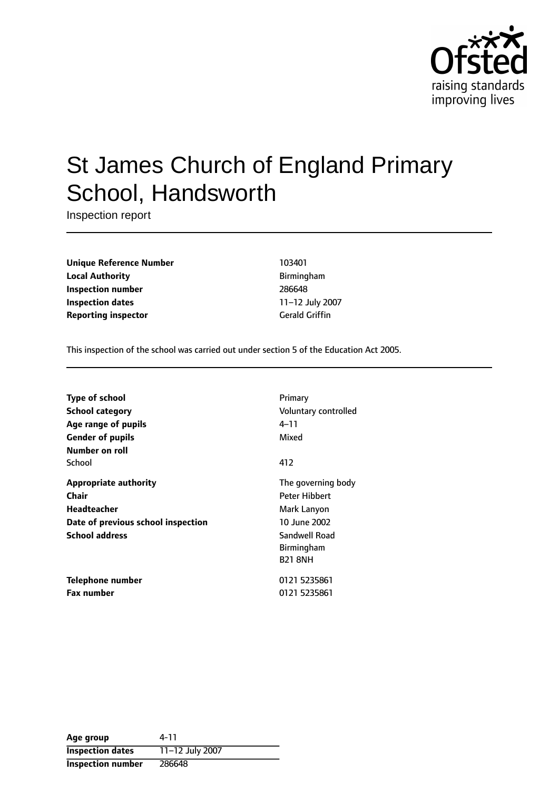

# St James Church of England Primary School, Handsworth

Inspection report

**Unique Reference Number** 103401 **Local Authority Birmingham Inspection number** 286648 **Inspection dates** 11-12 July 2007 **Reporting inspector** Gerald Griffin

This inspection of the school was carried out under section 5 of the Education Act 2005.

| <b>Type of school</b>              | Primary              |
|------------------------------------|----------------------|
| <b>School category</b>             | Voluntary controlled |
| Age range of pupils                | 4–11                 |
| <b>Gender of pupils</b>            | Mixed                |
| Number on roll                     |                      |
| School                             | 412                  |
| <b>Appropriate authority</b>       | The governing body   |
| Chair                              | <b>Peter Hibbert</b> |
| Headteacher                        | Mark Lanyon          |
| Date of previous school inspection | 10 June 2002         |
| <b>School address</b>              | Sandwell Road        |
|                                    | <b>Birmingham</b>    |
|                                    | <b>B21 8NH</b>       |
| Telephone number                   | 0121 5235861         |
| <b>Fax number</b>                  | 0121 5235861         |

| Age group                | 4-11            |
|--------------------------|-----------------|
| <b>Inspection dates</b>  | 11-12 July 2007 |
| <b>Inspection number</b> | 286648          |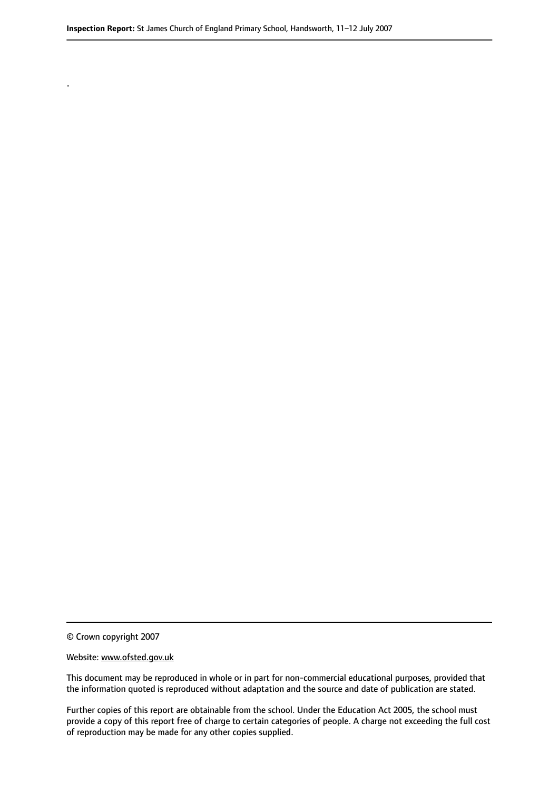© Crown copyright 2007

.

#### Website: www.ofsted.gov.uk

This document may be reproduced in whole or in part for non-commercial educational purposes, provided that the information quoted is reproduced without adaptation and the source and date of publication are stated.

Further copies of this report are obtainable from the school. Under the Education Act 2005, the school must provide a copy of this report free of charge to certain categories of people. A charge not exceeding the full cost of reproduction may be made for any other copies supplied.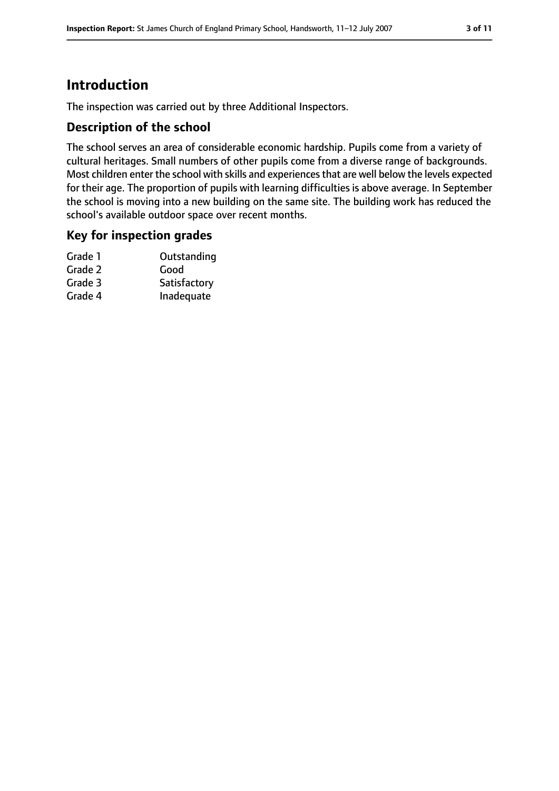## **Introduction**

The inspection was carried out by three Additional Inspectors.

### **Description of the school**

The school serves an area of considerable economic hardship. Pupils come from a variety of cultural heritages. Small numbers of other pupils come from a diverse range of backgrounds. Most children enter the school with skills and experiencesthat are well below the levels expected for their age. The proportion of pupils with learning difficulties is above average. In September the school is moving into a new building on the same site. The building work has reduced the school's available outdoor space over recent months.

### **Key for inspection grades**

| Outstanding  |
|--------------|
| Good         |
| Satisfactory |
| Inadequate   |
|              |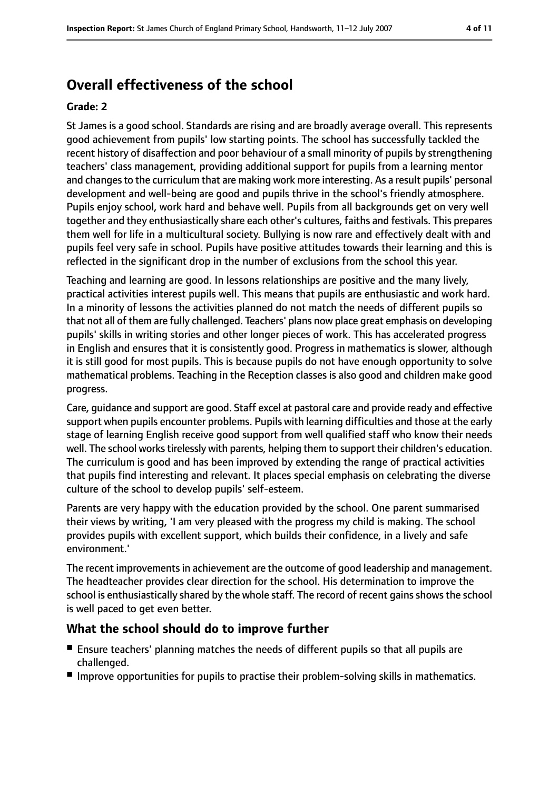## **Overall effectiveness of the school**

#### **Grade: 2**

St James is a good school. Standards are rising and are broadly average overall. This represents good achievement from pupils' low starting points. The school has successfully tackled the recent history of disaffection and poor behaviour of a small minority of pupils by strengthening teachers' class management, providing additional support for pupils from a learning mentor and changes to the curriculum that are making work more interesting. As a result pupils' personal development and well-being are good and pupils thrive in the school's friendly atmosphere. Pupils enjoy school, work hard and behave well. Pupils from all backgrounds get on very well together and they enthusiastically share each other's cultures, faiths and festivals. This prepares them well for life in a multicultural society. Bullying is now rare and effectively dealt with and pupils feel very safe in school. Pupils have positive attitudes towards their learning and this is reflected in the significant drop in the number of exclusions from the school this year.

Teaching and learning are good. In lessons relationships are positive and the many lively, practical activities interest pupils well. This means that pupils are enthusiastic and work hard. In a minority of lessons the activities planned do not match the needs of different pupils so that not all of them are fully challenged. Teachers' plans now place great emphasis on developing pupils' skills in writing stories and other longer pieces of work. This has accelerated progress in English and ensures that it is consistently good. Progress in mathematics is slower, although it is still good for most pupils. This is because pupils do not have enough opportunity to solve mathematical problems. Teaching in the Reception classes is also good and children make good progress.

Care, guidance and support are good. Staff excel at pastoral care and provide ready and effective support when pupils encounter problems. Pupils with learning difficulties and those at the early stage of learning English receive good support from well qualified staff who know their needs well. The school works tirelessly with parents, helping them to support their children's education. The curriculum is good and has been improved by extending the range of practical activities that pupils find interesting and relevant. It places special emphasis on celebrating the diverse culture of the school to develop pupils' self-esteem.

Parents are very happy with the education provided by the school. One parent summarised their views by writing, 'I am very pleased with the progress my child is making. The school provides pupils with excellent support, which builds their confidence, in a lively and safe environment.'

The recent improvements in achievement are the outcome of good leadership and management. The headteacher provides clear direction for the school. His determination to improve the school is enthusiastically shared by the whole staff. The record of recent gains shows the school is well paced to get even better.

### **What the school should do to improve further**

- Ensure teachers' planning matches the needs of different pupils so that all pupils are challenged.
- Improve opportunities for pupils to practise their problem-solving skills in mathematics.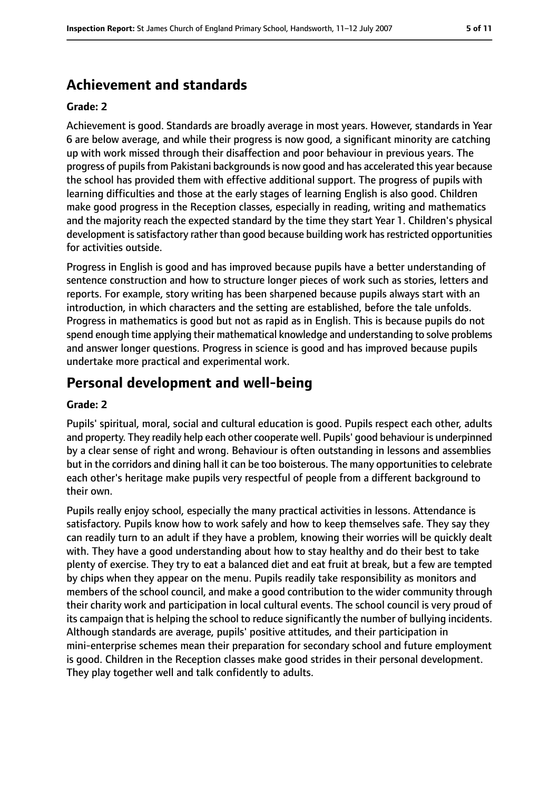## **Achievement and standards**

#### **Grade: 2**

Achievement is good. Standards are broadly average in most years. However, standards in Year 6 are below average, and while their progress is now good, a significant minority are catching up with work missed through their disaffection and poor behaviour in previous years. The progress of pupils from Pakistani backgrounds is now good and has accelerated this year because the school has provided them with effective additional support. The progress of pupils with learning difficulties and those at the early stages of learning English is also good. Children make good progress in the Reception classes, especially in reading, writing and mathematics and the majority reach the expected standard by the time they start Year 1. Children's physical development is satisfactory rather than good because building work has restricted opportunities for activities outside.

Progress in English is good and has improved because pupils have a better understanding of sentence construction and how to structure longer pieces of work such as stories, letters and reports. For example, story writing has been sharpened because pupils always start with an introduction, in which characters and the setting are established, before the tale unfolds. Progress in mathematics is good but not as rapid as in English. This is because pupils do not spend enough time applying their mathematical knowledge and understanding to solve problems and answer longer questions. Progress in science is good and has improved because pupils undertake more practical and experimental work.

## **Personal development and well-being**

#### **Grade: 2**

Pupils' spiritual, moral, social and cultural education is good. Pupils respect each other, adults and property. They readily help each other cooperate well. Pupils' good behaviour is underpinned by a clear sense of right and wrong. Behaviour is often outstanding in lessons and assemblies but in the corridors and dining hall it can be too boisterous. The many opportunities to celebrate each other's heritage make pupils very respectful of people from a different background to their own.

Pupils really enjoy school, especially the many practical activities in lessons. Attendance is satisfactory. Pupils know how to work safely and how to keep themselves safe. They say they can readily turn to an adult if they have a problem, knowing their worries will be quickly dealt with. They have a good understanding about how to stay healthy and do their best to take plenty of exercise. They try to eat a balanced diet and eat fruit at break, but a few are tempted by chips when they appear on the menu. Pupils readily take responsibility as monitors and members of the school council, and make a good contribution to the wider community through their charity work and participation in local cultural events. The school council is very proud of its campaign that is helping the school to reduce significantly the number of bullying incidents. Although standards are average, pupils' positive attitudes, and their participation in mini-enterprise schemes mean their preparation for secondary school and future employment is good. Children in the Reception classes make good strides in their personal development. They play together well and talk confidently to adults.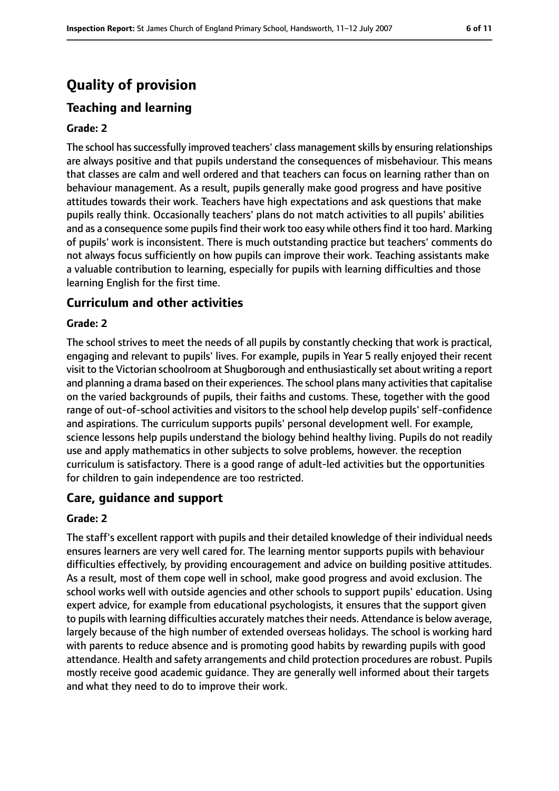## **Quality of provision**

## **Teaching and learning**

#### **Grade: 2**

The school has successfully improved teachers' class management skills by ensuring relationships are always positive and that pupils understand the consequences of misbehaviour. This means that classes are calm and well ordered and that teachers can focus on learning rather than on behaviour management. As a result, pupils generally make good progress and have positive attitudes towards their work. Teachers have high expectations and ask questions that make pupils really think. Occasionally teachers' plans do not match activities to all pupils' abilities and as a consequence some pupils find their work too easy while others find it too hard. Marking of pupils' work is inconsistent. There is much outstanding practice but teachers' comments do not always focus sufficiently on how pupils can improve their work. Teaching assistants make a valuable contribution to learning, especially for pupils with learning difficulties and those learning English for the first time.

#### **Curriculum and other activities**

#### **Grade: 2**

The school strives to meet the needs of all pupils by constantly checking that work is practical, engaging and relevant to pupils' lives. For example, pupils in Year 5 really enjoyed their recent visit to the Victorian schoolroom at Shugborough and enthusiastically set about writing a report and planning a drama based on their experiences. The school plans many activities that capitalise on the varied backgrounds of pupils, their faiths and customs. These, together with the good range of out-of-school activities and visitors to the school help develop pupils' self-confidence and aspirations. The curriculum supports pupils' personal development well. For example, science lessons help pupils understand the biology behind healthy living. Pupils do not readily use and apply mathematics in other subjects to solve problems, however. the reception curriculum is satisfactory. There is a good range of adult-led activities but the opportunities for children to gain independence are too restricted.

#### **Care, guidance and support**

#### **Grade: 2**

The staff's excellent rapport with pupils and their detailed knowledge of their individual needs ensures learners are very well cared for. The learning mentor supports pupils with behaviour difficulties effectively, by providing encouragement and advice on building positive attitudes. As a result, most of them cope well in school, make good progress and avoid exclusion. The school works well with outside agencies and other schools to support pupils' education. Using expert advice, for example from educational psychologists, it ensures that the support given to pupils with learning difficulties accurately matches their needs. Attendance is below average, largely because of the high number of extended overseas holidays. The school is working hard with parents to reduce absence and is promoting good habits by rewarding pupils with good attendance. Health and safety arrangements and child protection procedures are robust. Pupils mostly receive good academic guidance. They are generally well informed about their targets and what they need to do to improve their work.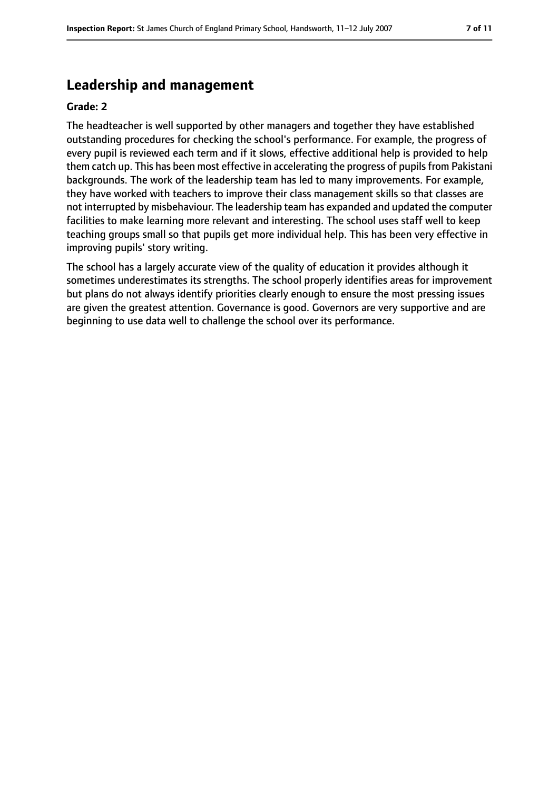## **Leadership and management**

#### **Grade: 2**

The headteacher is well supported by other managers and together they have established outstanding procedures for checking the school's performance. For example, the progress of every pupil is reviewed each term and if it slows, effective additional help is provided to help them catch up. This has been most effective in accelerating the progress of pupils from Pakistani backgrounds. The work of the leadership team has led to many improvements. For example, they have worked with teachers to improve their class management skills so that classes are not interrupted by misbehaviour. The leadership team has expanded and updated the computer facilities to make learning more relevant and interesting. The school uses staff well to keep teaching groups small so that pupils get more individual help. This has been very effective in improving pupils' story writing.

The school has a largely accurate view of the quality of education it provides although it sometimes underestimates its strengths. The school properly identifies areas for improvement but plans do not always identify priorities clearly enough to ensure the most pressing issues are given the greatest attention. Governance is good. Governors are very supportive and are beginning to use data well to challenge the school over its performance.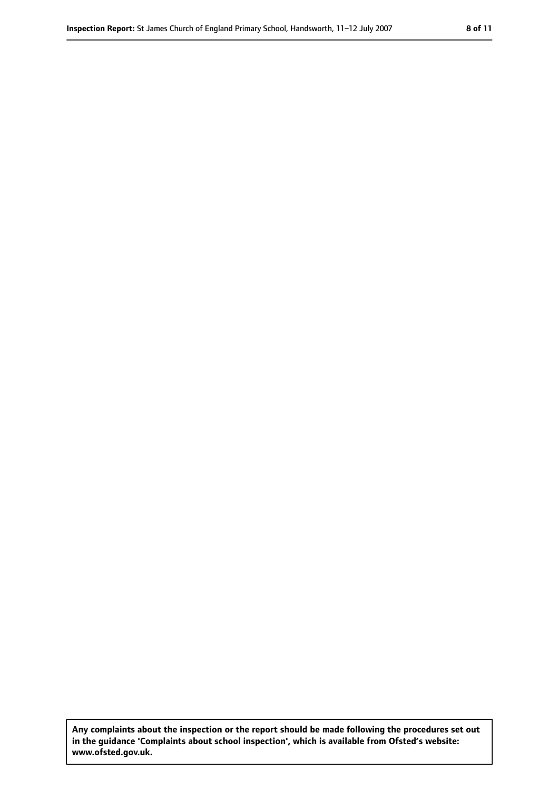**Any complaints about the inspection or the report should be made following the procedures set out in the guidance 'Complaints about school inspection', which is available from Ofsted's website: www.ofsted.gov.uk.**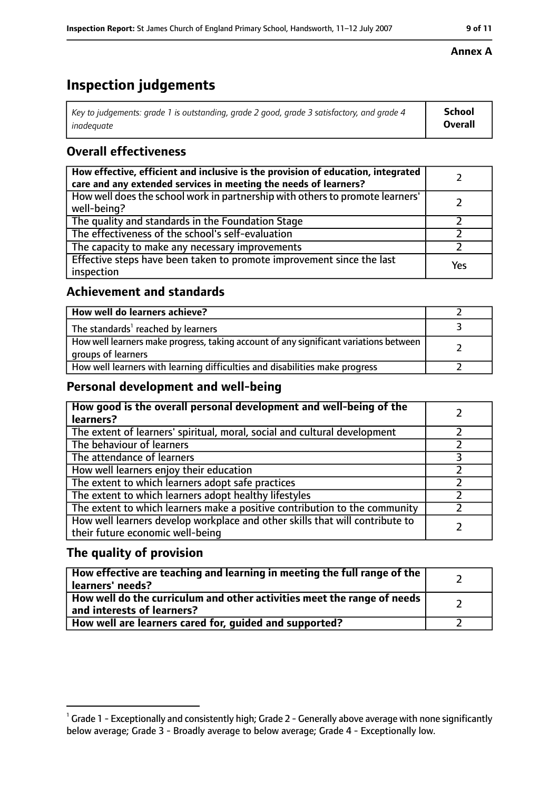## **Inspection judgements**

| $^{\circ}$ Key to judgements: grade 1 is outstanding, grade 2 good, grade 3 satisfactory, and grade 4 $^{\circ}$ | School         |
|------------------------------------------------------------------------------------------------------------------|----------------|
| inadeauate                                                                                                       | <b>Overall</b> |

## **Overall effectiveness**

| How effective, efficient and inclusive is the provision of education, integrated<br>care and any extended services in meeting the needs of learners? |     |
|------------------------------------------------------------------------------------------------------------------------------------------------------|-----|
| How well does the school work in partnership with others to promote learners'<br>well-being?                                                         |     |
| The quality and standards in the Foundation Stage                                                                                                    |     |
| The effectiveness of the school's self-evaluation                                                                                                    |     |
| The capacity to make any necessary improvements                                                                                                      |     |
| Effective steps have been taken to promote improvement since the last<br>inspection                                                                  | Yes |

## **Achievement and standards**

| How well do learners achieve?                                                                               |  |
|-------------------------------------------------------------------------------------------------------------|--|
| The standards <sup>1</sup> reached by learners                                                              |  |
| How well learners make progress, taking account of any significant variations between<br>groups of learners |  |
| How well learners with learning difficulties and disabilities make progress                                 |  |

## **Personal development and well-being**

| How good is the overall personal development and well-being of the<br>learners?                                  |  |
|------------------------------------------------------------------------------------------------------------------|--|
| The extent of learners' spiritual, moral, social and cultural development                                        |  |
| The behaviour of learners                                                                                        |  |
| The attendance of learners                                                                                       |  |
| How well learners enjoy their education                                                                          |  |
| The extent to which learners adopt safe practices                                                                |  |
| The extent to which learners adopt healthy lifestyles                                                            |  |
| The extent to which learners make a positive contribution to the community                                       |  |
| How well learners develop workplace and other skills that will contribute to<br>their future economic well-being |  |

## **The quality of provision**

| How effective are teaching and learning in meeting the full range of the<br>learners' needs?          |  |
|-------------------------------------------------------------------------------------------------------|--|
| How well do the curriculum and other activities meet the range of needs<br>and interests of learners? |  |
| How well are learners cared for, guided and supported?                                                |  |

### **Annex A**

 $^1$  Grade 1 - Exceptionally and consistently high; Grade 2 - Generally above average with none significantly below average; Grade 3 - Broadly average to below average; Grade 4 - Exceptionally low.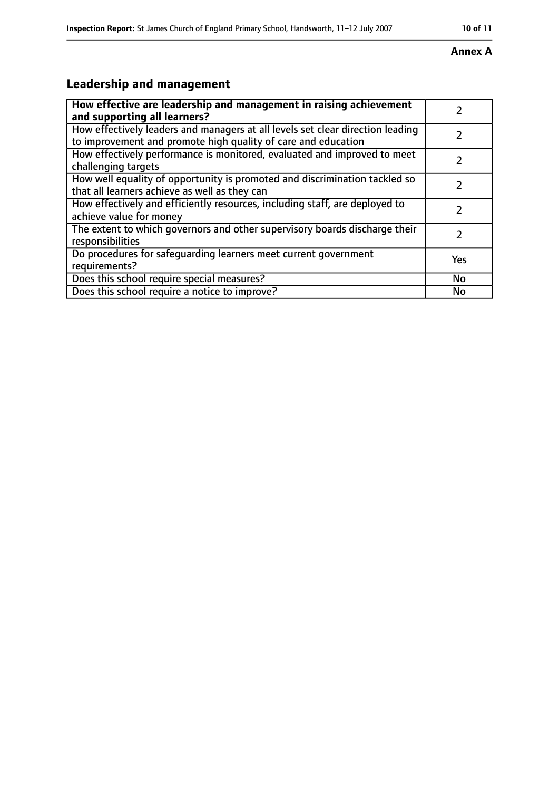#### **Inspection Report:** St James Church of England Primary School, Handsworth, 11-12 July 2007 **10 11**

#### **Annex A**

## **Leadership and management**

| How effective are leadership and management in raising achievement<br>and supporting all learners?                                              |           |
|-------------------------------------------------------------------------------------------------------------------------------------------------|-----------|
| How effectively leaders and managers at all levels set clear direction leading<br>to improvement and promote high quality of care and education |           |
| How effectively performance is monitored, evaluated and improved to meet<br>challenging targets                                                 |           |
| How well equality of opportunity is promoted and discrimination tackled so<br>that all learners achieve as well as they can                     |           |
| How effectively and efficiently resources, including staff, are deployed to<br>achieve value for money                                          |           |
| The extent to which governors and other supervisory boards discharge their<br>responsibilities                                                  | 7         |
| Do procedures for safequarding learners meet current government<br>requirements?                                                                | Yes       |
| Does this school require special measures?                                                                                                      | <b>No</b> |
| Does this school require a notice to improve?                                                                                                   | No        |